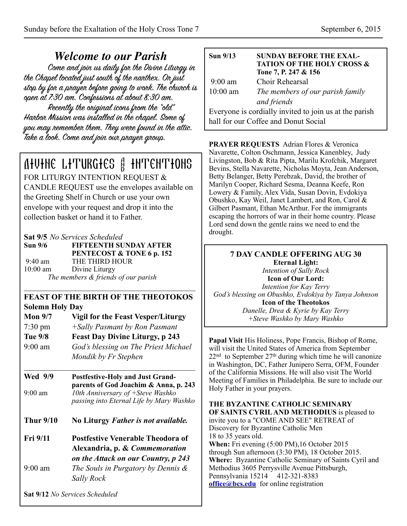*Welcome to our Parish* the Chapel located just south of the nanthex. On just stop by for a prayer before going to work. The church is open at 7:30 am. Confessions at about 8:30 am. Recently the original icons from the "old" Harbor Mission was installed in the chapel. Some of you may remember them. They were found in the attic. Take a look. Come and join our prayer group.

# Divine Liturgies & Intentions

FOR LITURGY INTENTION REQUEST & CANDLE REQUEST use the envelopes available on the Greeting Shelf in Church or use your own envelope with your request and drop it into the collection basket or hand it to Father.

**Sat 9/5** *No Services Scheduled* 

**Sun 9/6 FIFTEENTH SUNDAY AFTER PENTECOST & TONE 6 p. 152**  9:40 am THE THIRD HOUR 10:00 am Divine Liturgy *The members & friends of our parish*

## **FEAST OF THE BIRTH OF THE THEOTOKOS Solemn Holy Day**

 $\mathcal{L}_\text{max}$  , and the contract of the contract of the contract of the contract of the contract of the contract of the contract of the contract of the contract of the contract of the contract of the contract of the contr

- **Mon 9/7 Vigil for the Feast Vesper/Liturgy**  7:30 pm *+Sally Pasmant by Ron Pasmant* **Tue 9/8 Feast Day Divine Liturgy, p 243**
- 9:00 am *God's blessing on The Priest Michael Mondik by Fr Stephen*

 $\mathcal{L}_\text{max}$  , and the set of the set of the set of the set of the set of the set of the set of the set of the set of the set of the set of the set of the set of the set of the set of the set of the set of the set of the

- **Wed 9/9 Postfestive-Holy and Just Grand parents of God Joachim & Anna, p. 243**  9:00 am *10th Anniversary of +Steve Washko passing into Eternal Life by Mary Washko*
- **Thur 9/10 No Liturgy** *Father is not available.*
- **Fri 9/11 Postfestive Venerable Theodora of Alexandria, p. &** *Commemoration on the Attack on our Country, p 243* 9:00 am *The Souls in Purgatory by Dennis & Sally Rock*

**Sat 9/12** *No Services Scheduled*

| <b>Sun 9/13</b>   | <b>SUNDAY BEFORE THE EXAL-</b><br><b>TATION OF THE HOLY CROSS &amp;</b><br>Tone 7, P. 247 & 156 |
|-------------------|-------------------------------------------------------------------------------------------------|
| $9:00 \text{ am}$ | Choir Rehearsal                                                                                 |
| $10:00$ am        | The members of our parish family                                                                |
|                   | and friends                                                                                     |
|                   | Everyone is cordially invited to join us at the parish                                          |
|                   | hall for our Coffee and Donut Social                                                            |

**PRAYER REQUESTS** Adrian Flores & Veronica Navarette, Colton Oschmann, Jessica Kanenbley, Judy Livingston, Bob & Rita Pipta, Marilu Krofchik, Margaret Bevins, Stella Navarette, Nicholas Moyta, Jean Anderson, Betty Belanger, Betty Perebzak, David, the brother of Marilyn Cooper, Richard Sesma, Deanna Keefe, Ron Lowery & Family, Alex Vida, Susan Dovin, Evdokiya Obushko, Kay Weil, Janet Lambert, and Ron, Carol & Gilbert Pasmant, Ethan McArthur. For the immigrants escaping the horrors of war in their home country. Please Lord send down the gentle rains we need to end the drought.

### **7 DAY CANDLE OFFERING AUG 30 Eternal Light:**  *Intention of Sally Rock*  **Icon of Our Lord:**  *Intention for Kay Terry God's blessing on Obushko, Evdokiya by Tanya Johnson*  **Icon of the Theotokos**  *Danelle, Drea & Kyrie by Kay Terry +Steve Washko by Mary Washko*

**Papal Visit** His Holiness, Pope Francis, Bishop of Rome, will visit the United States of America from September  $22<sup>nd</sup>$  to September  $27<sup>th</sup>$  during which time he will canonize in Washington, DC, Father Junipero Serra, OFM, Founder of the California Missions. He will also visit The World Meeting of Families in Philadelphia. Be sure to include our Holy Father in your prayers.

#### **THE BYZANTINE CATHOLIC SEMINARY OF SAINTS CYRIL AND METHODIUS** is pleased to

invite you to a "COME AND SEE" RETREAT of Discovery for Byzantine Catholic Men 18 to 35 years old. **When:** Fri evening (5:00 PM),16 October 2015 through Sun afternoon (3:30 PM), 18 October 2015. **Where:** Byzantine Catholic Seminary of Saints Cyril and Methodius 3605 Perrysville Avenue Pittsburgh, Pennsylvania 15214 412-321-8383 **[office@bcs.edu](mailto:office@bcs.edu)** for online registration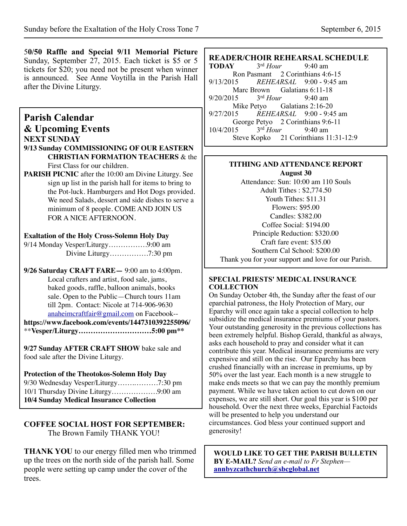5**0/50 Raffle and Special 9/11 Memorial Picture**  Sunday, September 27, 2015. Each ticket is \$5 or 5 tickets for \$20; you need not be present when winner is announced. See Anne Voytilla in the Parish Hall after the Divine Liturgy. **Parish Calendar & Upcoming Events NEXT SUNDAY 9/13 Sunday COMMISSIONING OF OUR EASTERN CHRISTIAN FORMATION TEACHERS** & the First Class for our children. **PARISH PICNIC** after the 10:00 am Divine Liturgy. See sign up list in the parish hall for items to bring to the Pot-luck. Hamburgers and Hot Dogs provided. We need Salads, dessert and side dishes to serve a minimum of 8 people. COME AND JOIN US FOR A NICE AFTERNOON. **Exaltation of the Holy Cross-Solemn Holy Day** 9/14 Monday Vesper/Liturgy…………….9:00 am Divine Liturgy…………….7:30 pm **9/26 Saturday CRAFT FARE—** 9:00 am to 4:00pm. Local crafters and artist, food sale, jams, baked goods, raffle, balloon animals, books sale. Open to the Public—Church tours 11am till 2pm. Contact: Nicole at 714-906-9630 [anaheimcraftfair@gmail.com](mailto:anaheimcraftfair@gmail.com) on Facebook- **<https://www.facebook.com/events/1447310392255096/>** \*\***Vesper/Liturgy…………………………5:00 pm\*\* 9/27 Sunday AFTER CRAFT SHOW** bake sale and food sale after the Divine Liturgy. **Protection of the Theotokos-Solemn Holy Day** 9/30 Wednesday Vesper/Liturgy…….……….7:30 pm 10/1 Thursday Divine Liturgy……………….9:00 am **10/4 Sunday Medical Insurance Collection COFFEE SOCIAL HOST FOR SEPTEMBER:**  The Brown Family THANK YOU! **READER/CHOIR REHEARSAL SCHEDULE**<br>TODAY 3<sup>rd</sup> Hour 9:40 am **TODAY** 3rd *Hour* 9:40 am Ron Pasmant 2 Corinthians 4:6-15<br>9/13/2015 *REHEARSAL* 9:00 - 9:45 and 9/13/2015 *REHEARSAL* 9:00 - 9:45 am Marc Brown Galatians 6:11-18<br>15  $3<sup>rd</sup> Hour$  9:40 am 9/20/2015 3rd *Hour* 9:40 am Mike Petyo Galatians 2:16-20 9/27/2015 *REHEARSAL* 9:00 - 9:45 am George Petyo 2 Corinthians 9:6-11<br>15  $3<sup>rd</sup> Hour$  9:40 am 10/4/2015 3rd *Hour* 9:40 am Steve Kopko 21 Corinthians 11:31-12:9 **TITHING AND ATTENDANCE REPORT August 30** Attendance: Sun: 10:00 am 110 Souls Adult Tithes : \$2,774.50 Youth Tithes: \$11.31 Flowers: \$95.00 Candles: \$382.00 Coffee Social: \$194.00 Principle Reduction: \$320.00 Craft fare event: \$35.00 Southern Cal School: \$200.00 Thank you for your support and love for our Parish. **SPECIAL PRIESTS' MEDICAL INSURANCE COLLECTION**  On Sunday October 4th, the Sunday after the feast of our eparchial patroness, the Holy Protection of Mary, our Eparchy will once again take a special collection to help subsidize the medical insurance premiums of your pastors. Your outstanding generosity in the previous collections has been extremely helpful. Bishop Gerald, thankful as always, asks each household to pray and consider what it can contribute this year. Medical insurance premiums are very expensive and still on the rise. Our Eparchy has been crushed financially with an increase in premiums, up by 50% over the last year. Each month is a new struggle to make ends meets so that we can pay the monthly premium payment. While we have taken action to cut down on our expenses, we are still short. Our goal this year is \$100 per household. Over the next three weeks, Eparchial Factoids will be presented to help you understand our circumstances. God bless your continued support and generosity!

**THANK YOU** to our energy filled men who trimmed up the trees on the north side of the parish hall. Some people were setting up camp under the cover of the trees.

**WOULD LIKE TO GET THE PARISH BULLETIN BY E-MAIL?** *Send an e-mail to Fr Stephen* **[annbyzcathchurch@sbcglobal.net](mailto:annbyzcathchurch@sbcglobal.net)**